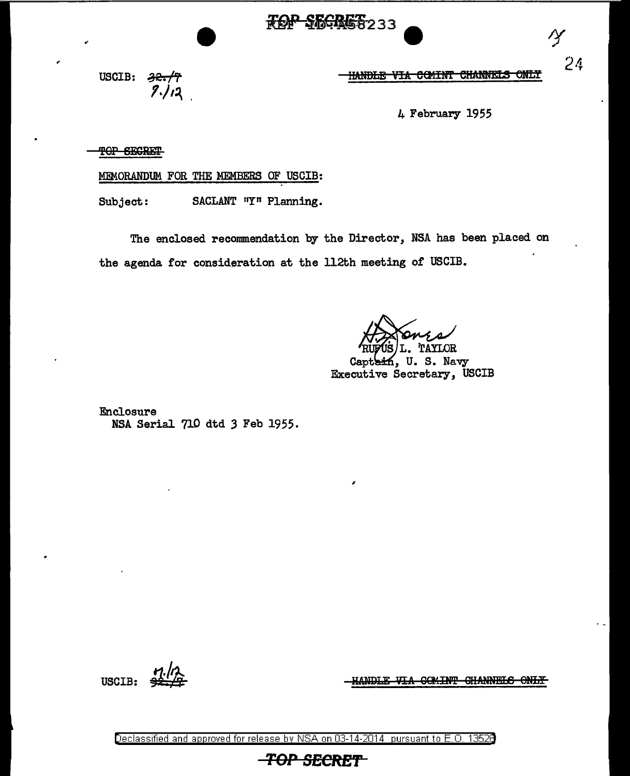

HANDLE VIA COMINT CHANNELS <del>ONLY</del>

4 February 1955

USCIB:  $\frac{32.77}{7.12}$ 

TOP SECRET

MEMORANDUM FOR THE MEMBERS OF USCIB:

SACLANT "Y" Planning. Subject:

The enclosed recommendation by the Director, NSA has been placed on the agenda for consideration at the 112th meeting of USCIB.

TAYLOR U.S. Navy Capt Executive Secretary, USCIB

Enclosure NSA Serial 710 dtd 3 Feb 1955.

**USCIB:** 

HANDLE VIA COMINT CHANNELS ONLY

Declassified and approved for release by NSA on 03-14-2014 pursuant to E.O. 13528

**TOP SECRET** 

 $24$